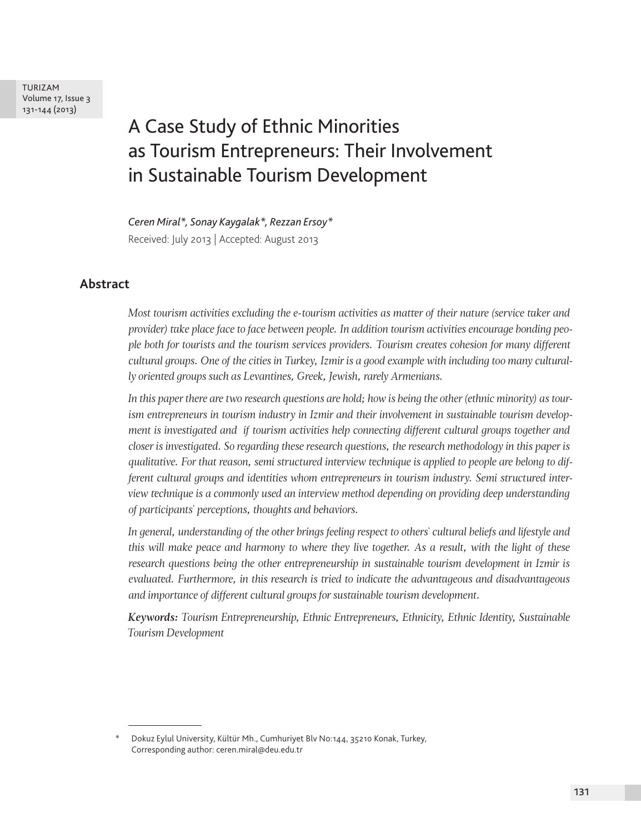TURIZAM Volume 17, Issue 3 131-144 (2013)

# A Case Study of Ethnic Minorities as Tourism Entrepreneurs: Their Involvement in Sustainable Tourism Development

*Ceren Miral\*, Sonay Kaygalak\*, Rezzan Ersoy\**  Received: July 2013 | Accepted: August 2013

# **Abstract**

*Most tourism activities excluding the e-tourism activities as matter of their nature (service taker and provider) take place face to face between people. In addition tourism activities encourage bonding people both for tourists and the tourism services providers. Tourism creates cohesion for many different cultural groups. One of the cities in Turkey, Izmir is a good example with including too many culturally oriented groups such as Levantines, Greek, Jewish, rarely Armenians.*

*In this paper there are two research questions are hold; how is being the other (ethnic minority) as tourism entrepreneurs in tourism industry in Izmir and their involvement in sustainable tourism development is investigated and if tourism activities help connecting different cultural groups together and closer is investigated. So regarding these research questions, the research methodology in this paper is qualitative. For that reason, semi structured interview technique is applied to people are belong to different cultural groups and identities whom entrepreneurs in tourism industry. Semi structured interview technique is a commonly used an interview method depending on providing deep understanding of participants` perceptions, thoughts and behaviors.* 

*In general, understanding of the other brings feeling respect to others` cultural beliefs and lifestyle and this will make peace and harmony to where they live together. As a result, with the light of these research questions being the other entrepreneurship in sustainable tourism development in Izmir is evaluated. Furthermore, in this research is tried to indicate the advantageous and disadvantageous and importance of different cultural groups for sustainable tourism development.*

*Keywords: Tourism Entrepreneurship, Ethnic Entrepreneurs, Ethnicity, Ethnic Identity, Sustainable Tourism Development*

<sup>\*</sup> Dokuz Eylul University, Kültür Mh., Cumhuriyet Blv No:144, 35210 Konak, Turkey, Corresponding author: ceren.miral@deu.edu.tr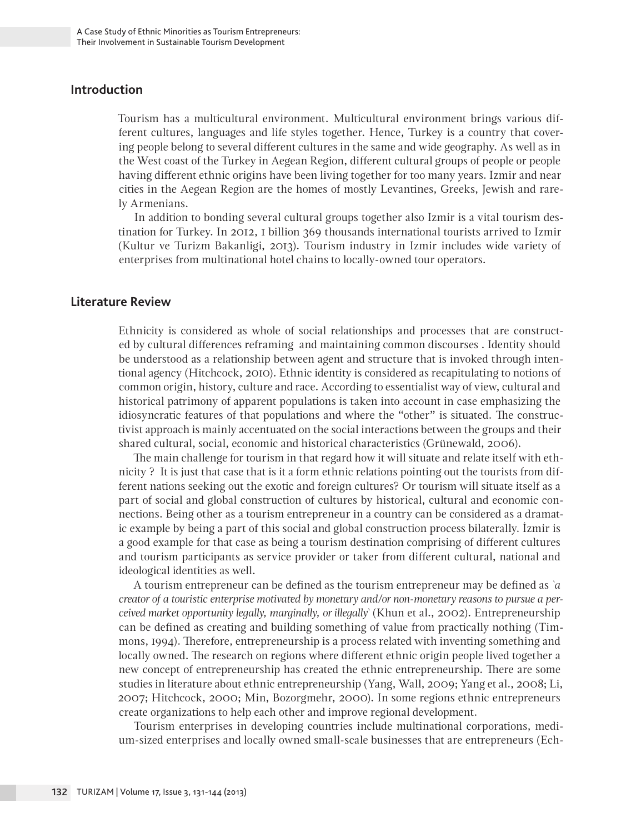## **Introduction**

Tourism has a multicultural environment. Multicultural environment brings various different cultures, languages and life styles together. Hence, Turkey is a country that covering people belong to several different cultures in the same and wide geography. As well as in the West coast of the Turkey in Aegean Region, different cultural groups of people or people having different ethnic origins have been living together for too many years. Izmir and near cities in the Aegean Region are the homes of mostly Levantines, Greeks, Jewish and rarely Armenians.

In addition to bonding several cultural groups together also Izmir is a vital tourism destination for Turkey. In 2012, 1 billion 369 thousands international tourists arrived to Izmir (Kultur ve Turizm Bakanligi, 2013). Tourism industry in Izmir includes wide variety of enterprises from multinational hotel chains to locally-owned tour operators.

### **Literature Review**

Ethnicity is considered as whole of social relationships and processes that are constructed by cultural differences reframing and maintaining common discourses . Identity should be understood as a relationship between agent and structure that is invoked through intentional agency (Hitchcock, 2010). Ethnic identity is considered as recapitulating to notions of common origin, history, culture and race. According to essentialist way of view, cultural and historical patrimony of apparent populations is taken into account in case emphasizing the idiosyncratic features of that populations and where the "other" is situated. The constructivist approach is mainly accentuated on the social interactions between the groups and their shared cultural, social, economic and historical characteristics (Grünewald, 2006).

The main challenge for tourism in that regard how it will situate and relate itself with ethnicity ? It is just that case that is it a form ethnic relations pointing out the tourists from different nations seeking out the exotic and foreign cultures? Or tourism will situate itself as a part of social and global construction of cultures by historical, cultural and economic connections. Being other as a tourism entrepreneur in a country can be considered as a dramatic example by being a part of this social and global construction process bilaterally. İzmir is a good example for that case as being a tourism destination comprising of different cultures and tourism participants as service provider or taker from different cultural, national and ideological identities as well.

A tourism entrepreneur can be defined as the tourism entrepreneur may be defined as *`a creator of a touristic enterprise motivated by monetary and/or non-monetary reasons to pursue a perceived market opportunity legally, marginally, or illegally`* (Khun et al., 2002). Entrepreneurship can be defined as creating and building something of value from practically nothing (Timmons, 1994). Therefore, entrepreneurship is a process related with inventing something and locally owned. The research on regions where different ethnic origin people lived together a new concept of entrepreneurship has created the ethnic entrepreneurship. There are some studies in literature about ethnic entrepreneurship (Yang, Wall, 2009; Yang et al., 2008; Li, 2007; Hitchcock, 2000; Min, Bozorgmehr, 2000). In some regions ethnic entrepreneurs create organizations to help each other and improve regional development.

Tourism enterprises in developing countries include multinational corporations, medium-sized enterprises and locally owned small-scale businesses that are entrepreneurs (Ech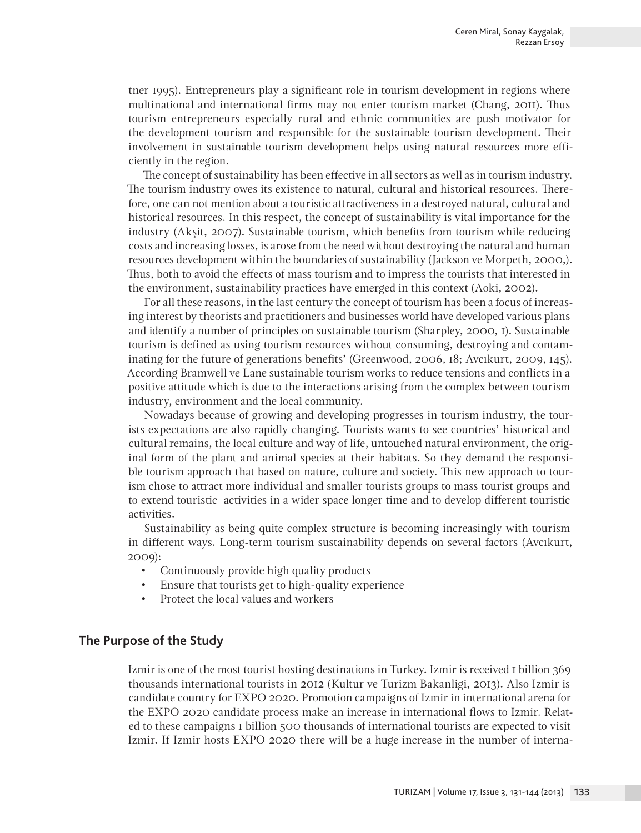tner 1995). Entrepreneurs play a significant role in tourism development in regions where multinational and international firms may not enter tourism market (Chang, 2011). Thus tourism entrepreneurs especially rural and ethnic communities are push motivator for the development tourism and responsible for the sustainable tourism development. Their involvement in sustainable tourism development helps using natural resources more efficiently in the region.

The concept of sustainability has been effective in all sectors as well as in tourism industry. The tourism industry owes its existence to natural, cultural and historical resources. Therefore, one can not mention about a touristic attractiveness in a destroyed natural, cultural and historical resources. In this respect, the concept of sustainability is vital importance for the industry (Akşit, 2007). Sustainable tourism, which benefits from tourism while reducing costs and increasing losses, is arose from the need without destroying the natural and human resources development within the boundaries of sustainability (Jackson ve Morpeth, 2000,). Thus, both to avoid the effects of mass tourism and to impress the tourists that interested in the environment, sustainability practices have emerged in this context (Aoki, 2002).

For all these reasons, in the last century the concept of tourism has been a focus of increasing interest by theorists and practitioners and businesses world have developed various plans and identify a number of principles on sustainable tourism (Sharpley, 2000, 1). Sustainable tourism is defined as using tourism resources without consuming, destroying and contaminating for the future of generations benefits' (Greenwood, 2006, 18; Avcıkurt, 2009, 145). According Bramwell ve Lane sustainable tourism works to reduce tensions and conflicts in a positive attitude which is due to the interactions arising from the complex between tourism industry, environment and the local community.

Nowadays because of growing and developing progresses in tourism industry, the tourists expectations are also rapidly changing. Tourists wants to see countries' historical and cultural remains, the local culture and way of life, untouched natural environment, the original form of the plant and animal species at their habitats. So they demand the responsible tourism approach that based on nature, culture and society. This new approach to tourism chose to attract more individual and smaller tourists groups to mass tourist groups and to extend touristic activities in a wider space longer time and to develop different touristic activities.

Sustainability as being quite complex structure is becoming increasingly with tourism in different ways. Long-term tourism sustainability depends on several factors (Avcıkurt, 2009):

- • Continuously provide high quality products
- Ensure that tourists get to high-quality experience
- Protect the local values and workers

## **The Purpose of the Study**

Izmir is one of the most tourist hosting destinations in Turkey. Izmir is received 1 billion 369 thousands international tourists in 2012 (Kultur ve Turizm Bakanligi, 2013). Also Izmir is candidate country for EXPO 2020. Promotion campaigns of Izmir in international arena for the EXPO 2020 candidate process make an increase in international flows to Izmir. Related to these campaigns 1 billion 500 thousands of international tourists are expected to visit Izmir. If Izmir hosts EXPO 2020 there will be a huge increase in the number of interna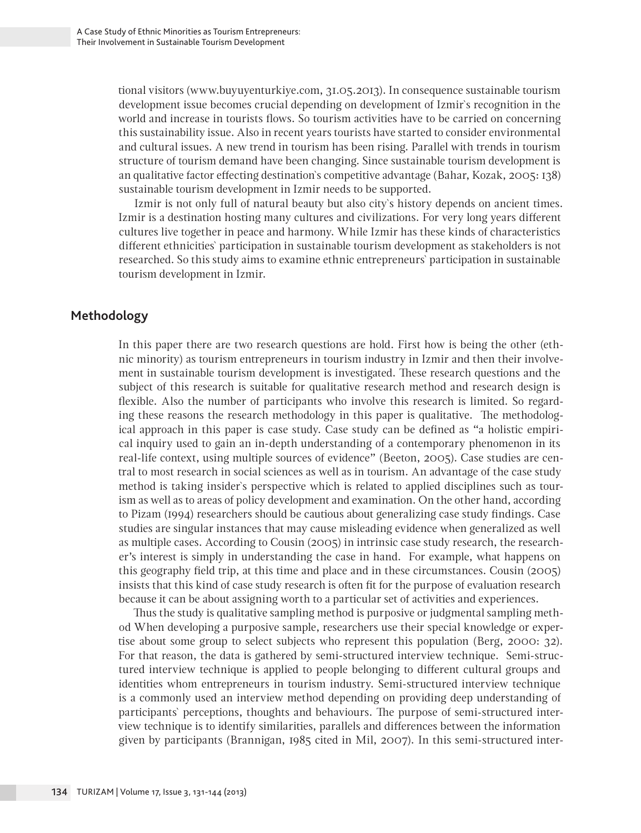tional visitors (www.buyuyenturkiye.com, 31.05.2013). In consequence sustainable tourism development issue becomes crucial depending on development of Izmir`s recognition in the world and increase in tourists flows. So tourism activities have to be carried on concerning this sustainability issue. Also in recent years tourists have started to consider environmental and cultural issues. A new trend in tourism has been rising. Parallel with trends in tourism structure of tourism demand have been changing. Since sustainable tourism development is an qualitative factor effecting destination`s competitive advantage (Bahar, Kozak, 2005: 138) sustainable tourism development in Izmir needs to be supported.

Izmir is not only full of natural beauty but also city`s history depends on ancient times. Izmir is a destination hosting many cultures and civilizations. For very long years different cultures live together in peace and harmony. While Izmir has these kinds of characteristics different ethnicities` participation in sustainable tourism development as stakeholders is not researched. So this study aims to examine ethnic entrepreneurs` participation in sustainable tourism development in Izmir.

# **Methodology**

In this paper there are two research questions are hold. First how is being the other (ethnic minority) as tourism entrepreneurs in tourism industry in Izmir and then their involvement in sustainable tourism development is investigated. These research questions and the subject of this research is suitable for qualitative research method and research design is flexible. Also the number of participants who involve this research is limited. So regarding these reasons the research methodology in this paper is qualitative. The methodological approach in this paper is case study. Case study can be defined as "a holistic empirical inquiry used to gain an in-depth understanding of a contemporary phenomenon in its real-life context, using multiple sources of evidence" (Beeton, 2005). Case studies are central to most research in social sciences as well as in tourism. An advantage of the case study method is taking insider`s perspective which is related to applied disciplines such as tourism as well as to areas of policy development and examination. On the other hand, according to Pizam (1994) researchers should be cautious about generalizing case study findings. Case studies are singular instances that may cause misleading evidence when generalized as well as multiple cases. According to Cousin (2005) in intrinsic case study research, the researcher's interest is simply in understanding the case in hand. For example, what happens on this geography field trip, at this time and place and in these circumstances. Cousin (2005) insists that this kind of case study research is often fit for the purpose of evaluation research because it can be about assigning worth to a particular set of activities and experiences.

Thus the study is qualitative sampling method is purposive or judgmental sampling method When developing a purposive sample, researchers use their special knowledge or expertise about some group to select subjects who represent this population (Berg, 2000: 32). For that reason, the data is gathered by semi-structured interview technique. Semi-structured interview technique is applied to people belonging to different cultural groups and identities whom entrepreneurs in tourism industry. Semi-structured interview technique is a commonly used an interview method depending on providing deep understanding of participants` perceptions, thoughts and behaviours. The purpose of semi-structured interview technique is to identify similarities, parallels and differences between the information given by participants (Brannigan, 1985 cited in Mil, 2007). In this semi-structured inter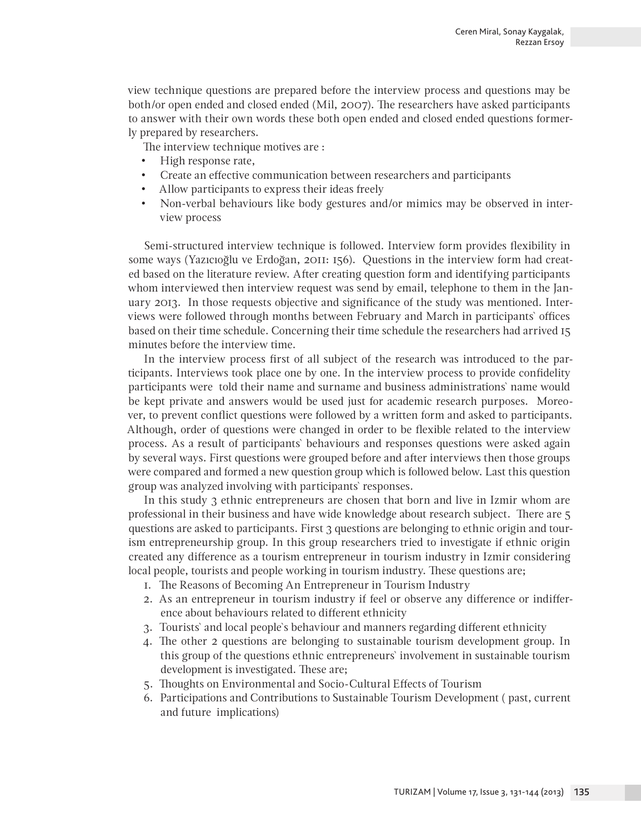view technique questions are prepared before the interview process and questions may be both/or open ended and closed ended (Mil, 2007). The researchers have asked participants to answer with their own words these both open ended and closed ended questions formerly prepared by researchers.

The interview technique motives are :

- High response rate,
- Create an effective communication between researchers and participants
- Allow participants to express their ideas freely
- Non-verbal behaviours like body gestures and/or mimics may be observed in interview process

Semi-structured interview technique is followed. Interview form provides flexibility in some ways (Yazıcıoğlu ve Erdoğan, 2011: 156). Questions in the interview form had created based on the literature review. After creating question form and identifying participants whom interviewed then interview request was send by email, telephone to them in the January 2013. In those requests objective and significance of the study was mentioned. Interviews were followed through months between February and March in participants` offices based on their time schedule. Concerning their time schedule the researchers had arrived 15 minutes before the interview time.

In the interview process first of all subject of the research was introduced to the participants. Interviews took place one by one. In the interview process to provide confidelity participants were told their name and surname and business administrations` name would be kept private and answers would be used just for academic research purposes. Moreover, to prevent conflict questions were followed by a written form and asked to participants. Although, order of questions were changed in order to be flexible related to the interview process. As a result of participants` behaviours and responses questions were asked again by several ways. First questions were grouped before and after interviews then those groups were compared and formed a new question group which is followed below. Last this question group was analyzed involving with participants` responses.

In this study 3 ethnic entrepreneurs are chosen that born and live in Izmir whom are professional in their business and have wide knowledge about research subject. There are 5 questions are asked to participants. First 3 questions are belonging to ethnic origin and tourism entrepreneurship group. In this group researchers tried to investigate if ethnic origin created any difference as a tourism entrepreneur in tourism industry in Izmir considering local people, tourists and people working in tourism industry. These questions are;

- 1. The Reasons of Becoming An Entrepreneur in Tourism Industry
- 2. As an entrepreneur in tourism industry if feel or observe any difference or indifference about behaviours related to different ethnicity
- 3. Tourists` and local people`s behaviour and manners regarding different ethnicity
- 4. The other 2 questions are belonging to sustainable tourism development group. In this group of the questions ethnic entrepreneurs` involvement in sustainable tourism development is investigated. These are;
- 5. Thoughts on Environmental and Socio-Cultural Effects of Tourism
- 6. Participations and Contributions to Sustainable Tourism Development ( past, current and future implications)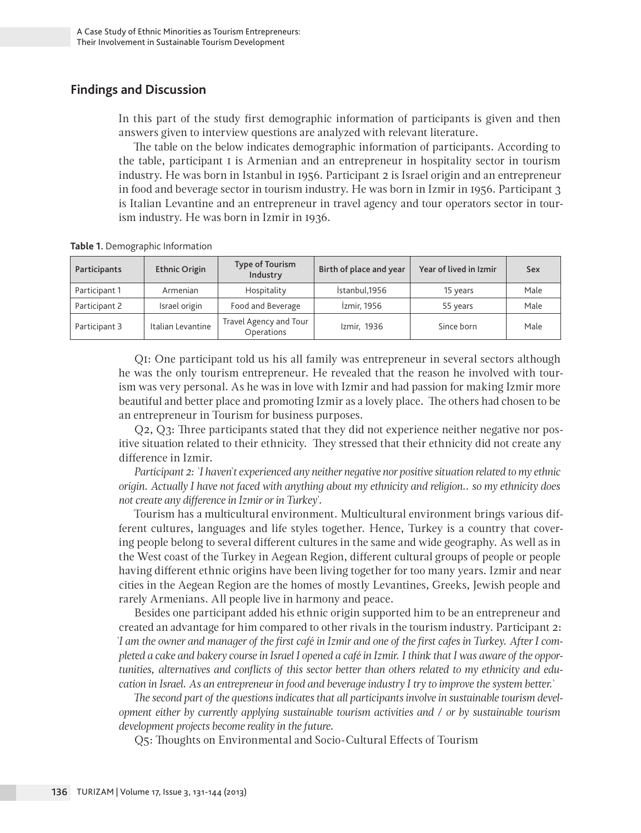# **Findings and Discussion**

In this part of the study first demographic information of participants is given and then answers given to interview questions are analyzed with relevant literature.

The table on the below indicates demographic information of participants. According to the table, participant 1 is Armenian and an entrepreneur in hospitality sector in tourism industry. He was born in Istanbul in 1956. Participant 2 is Israel origin and an entrepreneur in food and beverage sector in tourism industry. He was born in Izmir in 1956. Participant 3 is Italian Levantine and an entrepreneur in travel agency and tour operators sector in tourism industry. He was born in Izmir in 1936.

**Table 1.** Demographic Information

| Participants  | <b>Ethnic Origin</b> | Type of Tourism<br>Industry          | Birth of place and year | Year of lived in Izmir | Sex  |
|---------------|----------------------|--------------------------------------|-------------------------|------------------------|------|
| Participant 1 | Armenian             | Hospitality                          | İstanbul, 1956          | 15 years               | Male |
| Participant 2 | Israel origin        | Food and Beverage                    | İzmir, 1956             | 55 years               | Male |
| Participant 3 | Italian Levantine    | Travel Agency and Tour<br>Operations | Izmir, 1936             | Since born             | Male |

Q1: One participant told us his all family was entrepreneur in several sectors although he was the only tourism entrepreneur. He revealed that the reason he involved with tourism was very personal. As he was in love with Izmir and had passion for making Izmir more beautiful and better place and promoting Izmir as a lovely place. The others had chosen to be an entrepreneur in Tourism for business purposes.

Q2, Q3: Three participants stated that they did not experience neither negative nor positive situation related to their ethnicity. They stressed that their ethnicity did not create any difference in Izmir.

*Participant 2: `I haven`t experienced any neither negative nor positive situation related to my ethnic origin. Actually I have not faced with anything about my ethnicity and religion.. so my ethnicity does not create any difference in Izmir or in Turkey`.*

Tourism has a multicultural environment. Multicultural environment brings various different cultures, languages and life styles together. Hence, Turkey is a country that covering people belong to several different cultures in the same and wide geography. As well as in the West coast of the Turkey in Aegean Region, different cultural groups of people or people having different ethnic origins have been living together for too many years. Izmir and near cities in the Aegean Region are the homes of mostly Levantines, Greeks, Jewish people and rarely Armenians. All people live in harmony and peace.

Besides one participant added his ethnic origin supported him to be an entrepreneur and created an advantage for him compared to other rivals in the tourism industry. Participant 2: *`I am the owner and manager of the first café in Izmir and one of the first cafes in Turkey. After I completed a cake and bakery course in Israel I opened a café in Izmir. I think that I was aware of the opportunities, alternatives and conflicts of this sector better than others related to my ethnicity and education in Israel. As an entrepreneur in food and beverage industry I try to improve the system better.`*

*The second part of the questions indicates that all participants involve in sustainable tourism development either by currently applying sustainable tourism activities and / or by sustainable tourism development projects become reality in the future.* 

Q5: Thoughts on Environmental and Socio-Cultural Effects of Tourism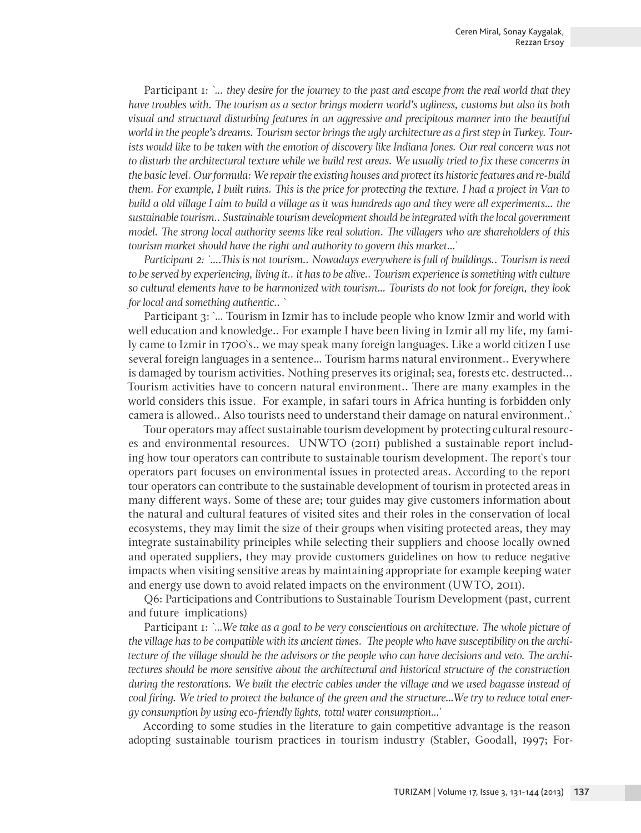Participant 1: *`… they desire for the journey to the past and escape from the real world that they have troubles with. The tourism as a sector brings modern world's ugliness, customs but also its both visual and structural disturbing features in an aggressive and precipitous manner into the beautiful world in the people's dreams. Tourism sector brings the ugly architecture as a first step in Turkey. Tour*ists would like to be taken with the emotion of discovery like Indiana Jones. Our real concern was not *to disturb the architectural texture while we build rest areas. We usually tried to fix these concerns in the basic level. Our formula: We repair the existing houses and protect its historic features and re-build them. For example, I built ruins. This is the price for protecting the texture. I had a project in Van to build a old village I aim to build a village as it was hundreds ago and they were all experiments… the sustainable tourism.. Sustainable tourism development should be integrated with the local government model. The strong local authority seems like real solution. The villagers who are shareholders of this tourism market should have the right and authority to govern this market…`*

*Participant 2: `….This is not tourism.. Nowadays everywhere is full of buildings.. Tourism is need to be served by experiencing, living it.. it has to be alive.. Tourism experience is something with culture so cultural elements have to be harmonized with tourism… Tourists do not look for foreign, they look for local and something authentic.. `*

Participant 3: `… Tourism in Izmir has to include people who know Izmir and world with well education and knowledge.. For example I have been living in Izmir all my life, my family came to Izmir in 1700`s.. we may speak many foreign languages. Like a world citizen I use several foreign languages in a sentence… Tourism harms natural environment.. Everywhere is damaged by tourism activities. Nothing preserves its original; sea, forests etc. destructed... Tourism activities have to concern natural environment.. There are many examples in the world considers this issue. For example, in safari tours in Africa hunting is forbidden only camera is allowed.. Also tourists need to understand their damage on natural environment..`

Tour operators may affect sustainable tourism development by protecting cultural resources and environmental resources. UNWTO (2011) published a sustainable report including how tour operators can contribute to sustainable tourism development. The report`s tour operators part focuses on environmental issues in protected areas. According to the report tour operators can contribute to the sustainable development of tourism in protected areas in many different ways. Some of these are; tour guides may give customers information about the natural and cultural features of visited sites and their roles in the conservation of local ecosystems, they may limit the size of their groups when visiting protected areas, they may integrate sustainability principles while selecting their suppliers and choose locally owned and operated suppliers, they may provide customers guidelines on how to reduce negative impacts when visiting sensitive areas by maintaining appropriate for example keeping water and energy use down to avoid related impacts on the environment (UWTO, 2011).

Q6: Participations and Contributions to Sustainable Tourism Development (past, current and future implications)

Participant 1: *`…We take as a goal to be very conscientious on architecture. The whole picture of the village has to be compatible with its ancient times. The people who have susceptibility on the architecture of the village should be the advisors or the people who can have decisions and veto. The architectures should be more sensitive about the architectural and historical structure of the construction during the restorations. We built the electric cables under the village and we used bagasse instead of coal firing. We tried to protect the balance of the green and the structure…We try to reduce total energy consumption by using eco-friendly lights, total water consumption…`*

According to some studies in the literature to gain competitive advantage is the reason adopting sustainable tourism practices in tourism industry (Stabler, Goodall, 1997; For-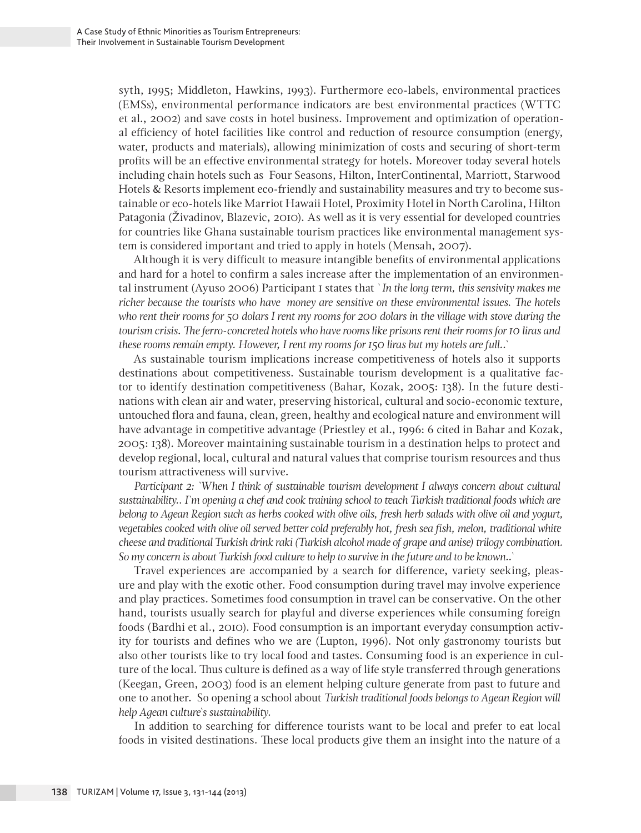syth, 1995; Middleton, Hawkins, 1993). Furthermore eco-labels, environmental practices (EMSs), environmental performance indicators are best environmental practices (WTTC et al., 2002) and save costs in hotel business. Improvement and optimization of operational efficiency of hotel facilities like control and reduction of resource consumption (energy, water, products and materials), allowing minimization of costs and securing of short-term profits will be an effective environmental strategy for hotels. Moreover today several hotels including chain hotels such as Four Seasons, Hilton, InterContinental, Marriott, Starwood Hotels & Resorts implement eco-friendly and sustainability measures and try to become sustainable or eco-hotels like Marriot Hawaii Hotel, Proximity Hotel in North Carolina, Hilton Patagonia (Živadinov, Blazevic, 2010). As well as it is very essential for developed countries for countries like Ghana sustainable tourism practices like environmental management system is considered important and tried to apply in hotels (Mensah, 2007).

Although it is very difficult to measure intangible benefits of environmental applications and hard for a hotel to confirm a sales increase after the implementation of an environmental instrument (Ayuso 2006) Participant 1 states that *` In the long term, this sensivity makes me richer because the tourists who have money are sensitive on these environmental issues. The hotels who rent their rooms for 50 dolars I rent my rooms for 200 dolars in the village with stove during the tourism crisis. The ferro-concreted hotels who have rooms like prisons rent their rooms for 10 liras and these rooms remain empty. However, I rent my rooms for 150 liras but my hotels are full..`*

As sustainable tourism implications increase competitiveness of hotels also it supports destinations about competitiveness. Sustainable tourism development is a qualitative factor to identify destination competitiveness (Bahar, Kozak, 2005: 138). In the future destinations with clean air and water, preserving historical, cultural and socio-economic texture, untouched flora and fauna, clean, green, healthy and ecological nature and environment will have advantage in competitive advantage (Priestley et al., 1996: 6 cited in Bahar and Kozak, 2005: 138). Moreover maintaining sustainable tourism in a destination helps to protect and develop regional, local, cultural and natural values that comprise tourism resources and thus tourism attractiveness will survive.

Participant 2: `When I think of sustainable tourism development I always concern about cultural *sustainability.. I`m opening a chef and cook training school to teach Turkish traditional foods which are belong to Agean Region such as herbs cooked with olive oils, fresh herb salads with olive oil and yogurt, vegetables cooked with olive oil served better cold preferably hot, fresh sea fish, melon, traditional white cheese and traditional Turkish drink raki (Turkish alcohol made of grape and anise) trilogy combination. So my concern is about Turkish food culture to help to survive in the future and to be known..`*

Travel experiences are accompanied by a search for difference, variety seeking, pleasure and play with the exotic other. Food consumption during travel may involve experience and play practices. Sometimes food consumption in travel can be conservative. On the other hand, tourists usually search for playful and diverse experiences while consuming foreign foods (Bardhi et al., 2010). Food consumption is an important everyday consumption activity for tourists and defines who we are (Lupton, 1996). Not only gastronomy tourists but also other tourists like to try local food and tastes. Consuming food is an experience in culture of the local. Thus culture is defined as a way of life style transferred through generations (Keegan, Green, 2003) food is an element helping culture generate from past to future and one to another. So opening a school about *Turkish traditional foods belongs to Agean Region will help Agean culture`s sustainability*.

In addition to searching for difference tourists want to be local and prefer to eat local foods in visited destinations. These local products give them an insight into the nature of a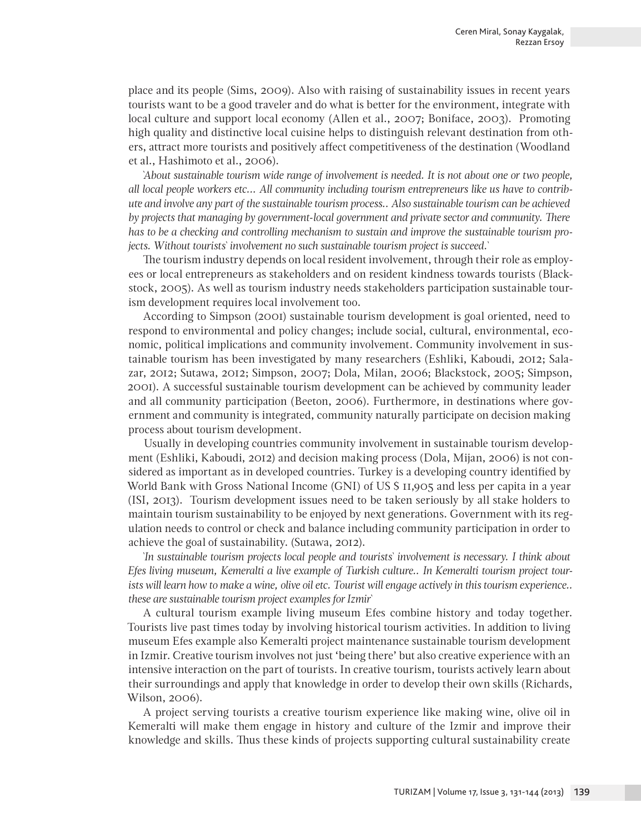place and its people (Sims, 2009). Also with raising of sustainability issues in recent years tourists want to be a good traveler and do what is better for the environment, integrate with local culture and support local economy (Allen et al., 2007; Boniface, 2003). Promoting high quality and distinctive local cuisine helps to distinguish relevant destination from others, attract more tourists and positively affect competitiveness of the destination (Woodland et al., Hashimoto et al., 2006).

*`About sustainable tourism wide range of involvement is needed. It is not about one or two people, all local people workers etc... All community including tourism entrepreneurs like us have to contribute and involve any part of the sustainable tourism process.. Also sustainable tourism can be achieved by projects that managing by government-local government and private sector and community. There has to be a checking and controlling mechanism to sustain and improve the sustainable tourism projects. Without tourists` involvement no such sustainable tourism project is succeed.`*

The tourism industry depends on local resident involvement, through their role as employees or local entrepreneurs as stakeholders and on resident kindness towards tourists (Blackstock, 2005). As well as tourism industry needs stakeholders participation sustainable tourism development requires local involvement too.

According to Simpson (2001) sustainable tourism development is goal oriented, need to respond to environmental and policy changes; include social, cultural, environmental, economic, political implications and community involvement. Community involvement in sustainable tourism has been investigated by many researchers (Eshliki, Kaboudi, 2012; Salazar, 2012; Sutawa, 2012; Simpson, 2007; Dola, Milan, 2006; Blackstock, 2005; Simpson, 2001). A successful sustainable tourism development can be achieved by community leader and all community participation (Beeton, 2006). Furthermore, in destinations where government and community is integrated, community naturally participate on decision making process about tourism development.

Usually in developing countries community involvement in sustainable tourism development (Eshliki, Kaboudi, 2012) and decision making process (Dola, Mijan, 2006) is not considered as important as in developed countries. Turkey is a developing country identified by World Bank with Gross National Income (GNI) of US \$ 11,905 and less per capita in a year (ISI, 2013). Tourism development issues need to be taken seriously by all stake holders to maintain tourism sustainability to be enjoyed by next generations. Government with its regulation needs to control or check and balance including community participation in order to achieve the goal of sustainability. (Sutawa, 2012).

*`In sustainable tourism projects local people and tourists` involvement is necessary. I think about Efes living museum, Kemeralti a live example of Turkish culture.. In Kemeralti tourism project tourists will learn how to make a wine, olive oil etc. Tourist will engage actively in this tourism experience.. these are sustainable tourism project examples for Izmir`*

A cultural tourism example living museum Efes combine history and today together. Tourists live past times today by involving historical tourism activities. In addition to living museum Efes example also Kemeralti project maintenance sustainable tourism development in Izmir. Creative tourism involves not just 'being there' but also creative experience with an intensive interaction on the part of tourists. In creative tourism, tourists actively learn about their surroundings and apply that knowledge in order to develop their own skills (Richards, Wilson, 2006).

A project serving tourists a creative tourism experience like making wine, olive oil in Kemeralti will make them engage in history and culture of the Izmir and improve their knowledge and skills. Thus these kinds of projects supporting cultural sustainability create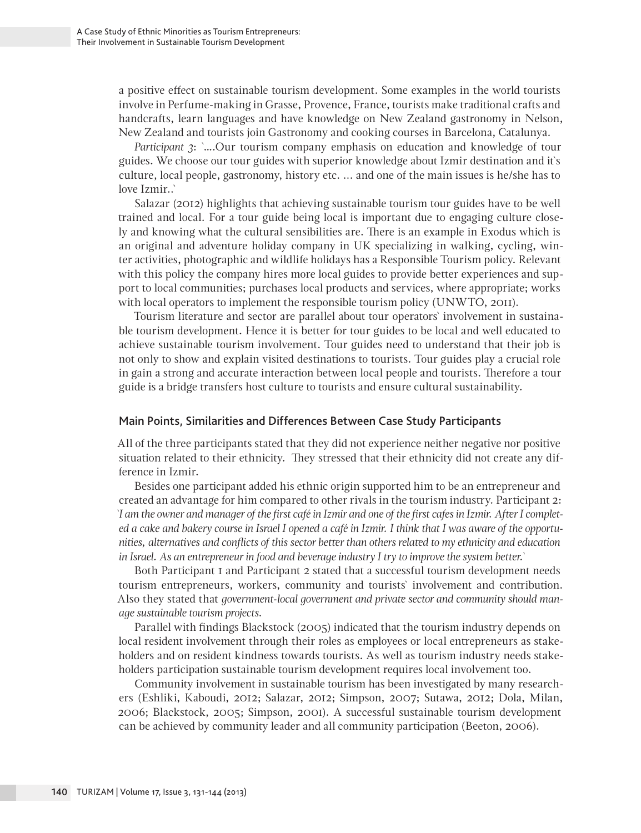a positive effect on sustainable tourism development. Some examples in the world tourists involve in Perfume-making in Grasse, Provence, France, tourists make traditional crafts and handcrafts, learn languages and have knowledge on New Zealand gastronomy in Nelson, New Zealand and tourists join Gastronomy and cooking courses in Barcelona, Catalunya.

*Participant 3*: `….Our tourism company emphasis on education and knowledge of tour guides. We choose our tour guides with superior knowledge about Izmir destination and it`s culture, local people, gastronomy, history etc. ... and one of the main issues is he/she has to love Izmir..`

Salazar (2012) highlights that achieving sustainable tourism tour guides have to be well trained and local. For a tour guide being local is important due to engaging culture closely and knowing what the cultural sensibilities are. There is an example in Exodus which is an original and adventure holiday company in UK specializing in walking, cycling, winter activities, photographic and wildlife holidays has a Responsible Tourism policy. Relevant with this policy the company hires more local guides to provide better experiences and support to local communities; purchases local products and services, where appropriate; works with local operators to implement the responsible tourism policy (UNWTO, 2011).

Tourism literature and sector are parallel about tour operators` involvement in sustainable tourism development. Hence it is better for tour guides to be local and well educated to achieve sustainable tourism involvement. Tour guides need to understand that their job is not only to show and explain visited destinations to tourists. Tour guides play a crucial role in gain a strong and accurate interaction between local people and tourists. Therefore a tour guide is a bridge transfers host culture to tourists and ensure cultural sustainability.

#### Main Points, Similarities and Differences Between Case Study Participants

All of the three participants stated that they did not experience neither negative nor positive situation related to their ethnicity. They stressed that their ethnicity did not create any difference in Izmir.

Besides one participant added his ethnic origin supported him to be an entrepreneur and created an advantage for him compared to other rivals in the tourism industry. Participant 2: *`I am the owner and manager of the first café in Izmir and one of the first cafes in Izmir. After I completed a cake and bakery course in Israel I opened a café in Izmir. I think that I was aware of the opportunities, alternatives and conflicts of this sector better than others related to my ethnicity and education in Israel. As an entrepreneur in food and beverage industry I try to improve the system better.`*

Both Participant 1 and Participant 2 stated that a successful tourism development needs tourism entrepreneurs, workers, community and tourists` involvement and contribution. Also they stated that *government-local government and private sector and community should manage sustainable tourism projects.*

Parallel with findings Blackstock (2005) indicated that the tourism industry depends on local resident involvement through their roles as employees or local entrepreneurs as stakeholders and on resident kindness towards tourists. As well as tourism industry needs stakeholders participation sustainable tourism development requires local involvement too.

Community involvement in sustainable tourism has been investigated by many researchers (Eshliki, Kaboudi, 2012; Salazar, 2012; Simpson, 2007; Sutawa, 2012; Dola, Milan, 2006; Blackstock, 2005; Simpson, 2001). A successful sustainable tourism development can be achieved by community leader and all community participation (Beeton, 2006).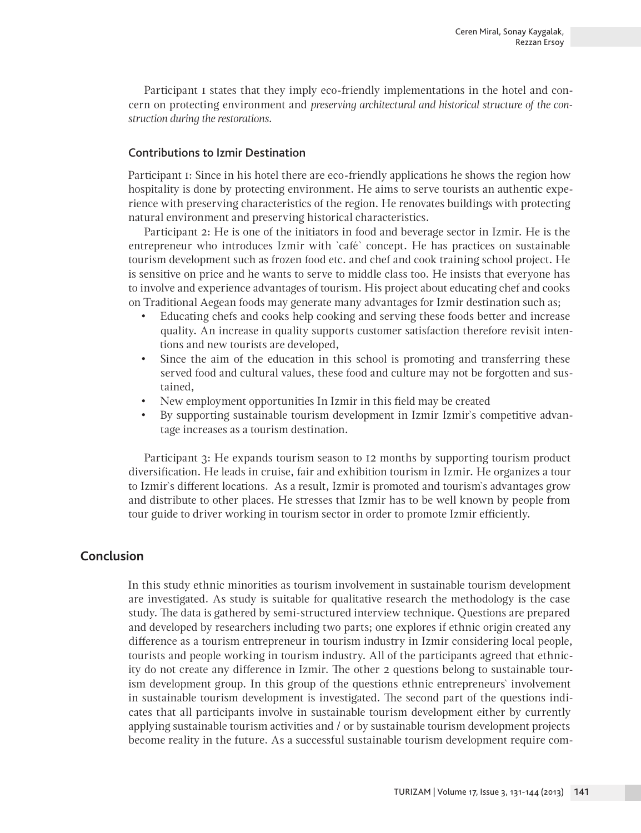Participant 1 states that they imply eco-friendly implementations in the hotel and concern on protecting environment and *preserving architectural and historical structure of the construction during the restorations.*

## Contributions to Izmir Destination

Participant 1: Since in his hotel there are eco-friendly applications he shows the region how hospitality is done by protecting environment. He aims to serve tourists an authentic experience with preserving characteristics of the region. He renovates buildings with protecting natural environment and preserving historical characteristics.

Participant 2: He is one of the initiators in food and beverage sector in Izmir. He is the entrepreneur who introduces Izmir with `café` concept. He has practices on sustainable tourism development such as frozen food etc. and chef and cook training school project. He is sensitive on price and he wants to serve to middle class too. He insists that everyone has to involve and experience advantages of tourism. His project about educating chef and cooks on Traditional Aegean foods may generate many advantages for Izmir destination such as;

- • Educating chefs and cooks help cooking and serving these foods better and increase quality. An increase in quality supports customer satisfaction therefore revisit intentions and new tourists are developed,
- Since the aim of the education in this school is promoting and transferring these served food and cultural values, these food and culture may not be forgotten and sustained,
- New employment opportunities In Izmir in this field may be created
- By supporting sustainable tourism development in Izmir Izmir's competitive advantage increases as a tourism destination.

Participant 3: He expands tourism season to 12 months by supporting tourism product diversification. He leads in cruise, fair and exhibition tourism in Izmir. He organizes a tour to Izmir`s different locations. As a result, Izmir is promoted and tourism`s advantages grow and distribute to other places. He stresses that Izmir has to be well known by people from tour guide to driver working in tourism sector in order to promote Izmir efficiently.

# **Conclusion**

In this study ethnic minorities as tourism involvement in sustainable tourism development are investigated. As study is suitable for qualitative research the methodology is the case study. The data is gathered by semi-structured interview technique. Questions are prepared and developed by researchers including two parts; one explores if ethnic origin created any difference as a tourism entrepreneur in tourism industry in Izmir considering local people, tourists and people working in tourism industry. All of the participants agreed that ethnicity do not create any difference in Izmir. The other 2 questions belong to sustainable tourism development group. In this group of the questions ethnic entrepreneurs` involvement in sustainable tourism development is investigated. The second part of the questions indicates that all participants involve in sustainable tourism development either by currently applying sustainable tourism activities and / or by sustainable tourism development projects become reality in the future. As a successful sustainable tourism development require com-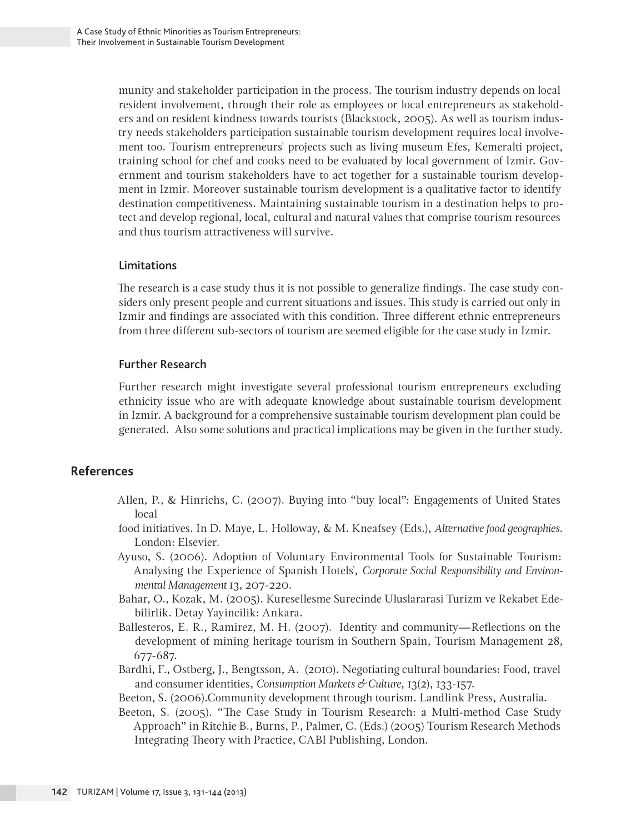munity and stakeholder participation in the process. The tourism industry depends on local resident involvement, through their role as employees or local entrepreneurs as stakeholders and on resident kindness towards tourists (Blackstock, 2005). As well as tourism industry needs stakeholders participation sustainable tourism development requires local involvement too. Tourism entrepreneurs` projects such as living museum Efes, Kemeralti project, training school for chef and cooks need to be evaluated by local government of Izmir. Government and tourism stakeholders have to act together for a sustainable tourism development in Izmir. Moreover sustainable tourism development is a qualitative factor to identify destination competitiveness. Maintaining sustainable tourism in a destination helps to protect and develop regional, local, cultural and natural values that comprise tourism resources and thus tourism attractiveness will survive.

## Limitations

The research is a case study thus it is not possible to generalize findings. The case study considers only present people and current situations and issues. This study is carried out only in Izmir and findings are associated with this condition. Three different ethnic entrepreneurs from three different sub-sectors of tourism are seemed eligible for the case study in Izmir.

## Further Research

Further research might investigate several professional tourism entrepreneurs excluding ethnicity issue who are with adequate knowledge about sustainable tourism development in Izmir. A background for a comprehensive sustainable tourism development plan could be generated. Also some solutions and practical implications may be given in the further study.

# **References**

- Allen, P., & Hinrichs, C. (2007). Buying into "buy local": Engagements of United States local
- food initiatives. In D. Maye, L. Holloway, & M. Kneafsey (Eds.), *Alternative food geographies*. London: Elsevier.
- Ayuso, S. (2006). Adoption of Voluntary Environmental Tools for Sustainable Tourism: Analysing the Experience of Spanish Hotels`, *Corporate Social Responsibility and Environmental Management* 13, 207-220.
- Bahar, O., Kozak, M. (2005). Kuresellesme Surecinde Uluslararasi Turizm ve Rekabet Edebilirlik. Detay Yayincilik: Ankara.
- Ballesteros, E. R., Ramirez, M. H. (2007). Identity and community—Reflections on the development of mining heritage tourism in Southern Spain, Tourism Management 28, 677-687.
- Bardhi, F., Ostberg, J., Bengtsson, A. (2010). Negotiating cultural boundaries: Food, travel and consumer identities, *Consumption Markets & Culture*, 13(2), 133-157.
- Beeton, S. (2006).Community development through tourism. Landlink Press, Australia.
- Beeton, S. (2005). "The Case Study in Tourism Research: a Multi-method Case Study Approach" in Ritchie B., Burns, P., Palmer, C. (Eds.) (2005) Tourism Research Methods Integrating Theory with Practice, CABI Publishing, London.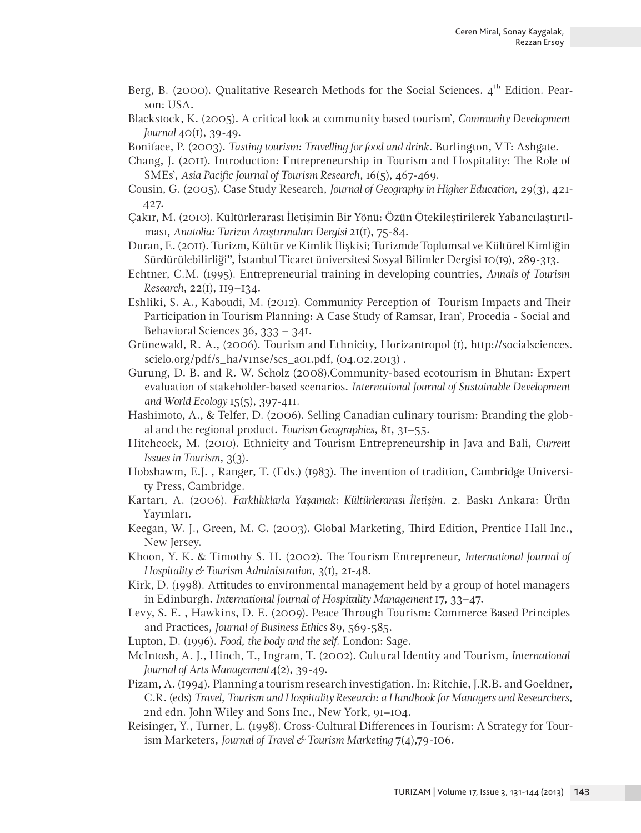- Berg, B. (2000). Qualitative Research Methods for the Social Sciences.  $4<sup>th</sup>$  Edition. Pearson: USA.
- Blackstock, K. (2005). A critical look at community based tourism`, *Community Development Journal* 40(1), 39-49.
- Boniface, P. (2003). *Tasting tourism: Travelling for food and drink*. Burlington, VT: Ashgate.
- Chang, J. (2011). Introduction: Entrepreneurship in Tourism and Hospitality: The Role of SMEs`, *Asia Pacific Journal of Tourism Research*, 16(5), 467-469.
- Cousin, G. (2005). Case Study Research, *Journal of Geography in Higher Education*, 29(3), 421- 427.
- Çakır, M. (2010). Kültürlerarası İletişimin Bir Yönü: Özün Ötekileştirilerek Yabancılaştırılması, *Anatolia: Turizm Araştırmaları Dergisi* 21(1), 75-84.
- Duran, E. (2011). Turizm, Kültür ve Kimlik İlişkisi; Turizmde Toplumsal ve Kültürel Kimliğin Sürdürülebilirliği", İstanbul Ticaret üniversitesi Sosyal Bilimler Dergisi 10(19), 289-313.
- Echtner, C.M. (1995). Entrepreneurial training in developing countries, *Annals of Tourism Research*, 22(1), 119–134.
- Eshliki, S. A., Kaboudi, M. (2012). Community Perception of Tourism Impacts and Their Participation in Tourism Planning: A Case Study of Ramsar, Iran`, Procedia - Social and Behavioral Sciences 36, 333 – 341.
- Grünewald, R. A., (2006). Tourism and Ethnicity, Horizantropol (1), http://socialsciences. scielo.org/pdf/s\_ha/v1nse/scs\_a01.pdf, (04.02.2013) .
- Gurung, D. B. and R. W. Scholz (2008).Community-based ecotourism in Bhutan: Expert evaluation of stakeholder-based scenarios. *International Journal of Sustainable Development and World Ecology* 15(5), 397-411.
- Hashimoto, A., & Telfer, D. (2006). Selling Canadian culinary tourism: Branding the global and the regional product. *Tourism Geographies*, 81, 31–55.
- Hitchcock, M. (2010). Ethnicity and Tourism Entrepreneurship in Java and Bali, *Current Issues in Tourism*, 3(3).
- Hobsbawm, E.J. , Ranger, T. (Eds.) (1983). The invention of tradition, Cambridge University Press, Cambridge.
- Kartarı, A. (2006). *Farklılıklarla Yaşamak: Kültürlerarası İletişim*. 2. Baskı Ankara: Ürün Yayınları.
- Keegan, W. J., Green, M. C. (2003). Global Marketing, Third Edition, Prentice Hall Inc., New Jersey.
- Khoon, Y. K. & Timothy S. H. (2002). The Tourism Entrepreneur, *International Journal of Hospitality & Tourism Administration*, 3(1), 21-48.
- Kirk, D. (1998). Attitudes to environmental management held by a group of hotel managers in Edinburgh. *International Journal of Hospitality Management* 17, 33–47.
- Levy, S. E. , Hawkins, D. E. (2009). Peace Through Tourism: Commerce Based Principles and Practices, *Journal of Business Ethics* 89, 569-585.
- Lupton, D. (1996). *Food, the body and the self.* London: Sage.
- McIntosh, A. J., Hinch, T., Ingram, T. (2002). Cultural Identity and Tourism, *International Journal of Arts Management* 4(2), 39-49.
- Pizam, A. (1994). Planning a tourism research investigation. In: Ritchie, J.R.B. and Goeldner, C.R. (eds) *Travel, Tourism and Hospitality Research: a Handbook for Managers and Researchers*, 2nd edn. John Wiley and Sons Inc., New York, 91–104.
- Reisinger, Y., Turner, L. (1998). Cross-Cultural Differences in Tourism: A Strategy for Tourism Marketers, *Journal of Travel & Tourism Marketing* 7(4),79-106.